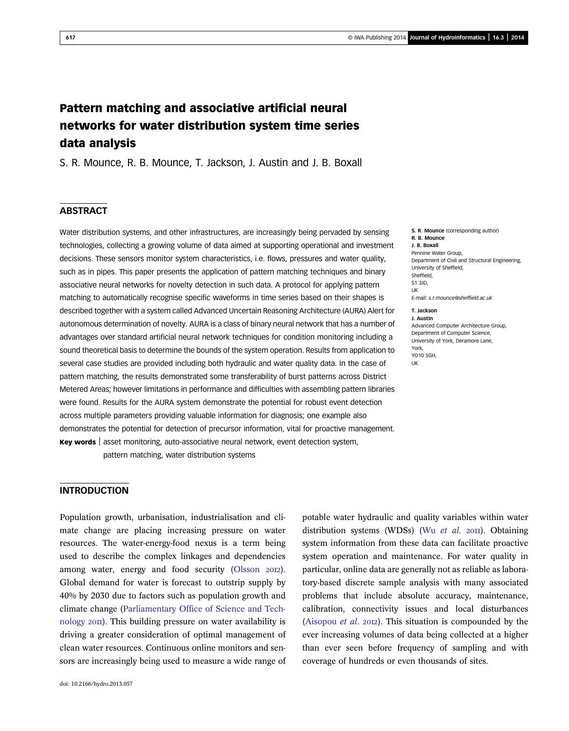# Pattern matching and associative artificial neural networks for water distribution system time series data analysis

S. R. Mounce, R. B. Mounce, T. Jackson, J. Austin and J. B. Boxall

# **ABSTRACT**

Water distribution systems, and other infrastructures, are increasingly being pervaded by sensing technologies, collecting a growing volume of data aimed at supporting operational and investment decisions. These sensors monitor system characteristics, i.e. flows, pressures and water quality, such as in pipes. This paper presents the application of pattern matching techniques and binary associative neural networks for novelty detection in such data. A protocol for applying pattern matching to automatically recognise specific waveforms in time series based on their shapes is described together with a system called Advanced Uncertain Reasoning Architecture (AURA) Alert for autonomous determination of novelty. AURA is a class of binary neural network that has a number of advantages over standard artificial neural network techniques for condition monitoring including a sound theoretical basis to determine the bounds of the system operation. Results from application to several case studies are provided including both hydraulic and water quality data. In the case of pattern matching, the results demonstrated some transferability of burst patterns across District Metered Areas; however limitations in performance and difficulties with assembling pattern libraries were found. Results for the AURA system demonstrate the potential for robust event detection across multiple parameters providing valuable information for diagnosis; one example also demonstrates the potential for detection of precursor information, vital for proactive management. Key words | asset monitoring, auto-associative neural network, event detection system,

pattern matching, water distribution systems

Pennine Water Group, Department of Civil and Structural Engineering, University of Sheffield, Sheffield, S1 3JD, E-mail: [s.r.mounce@shef](mailto:s.r.mounce@sheffield.ac.uk)field.ac.uk T. Jackson

J. Austin Advanced Computer Architecture Group, Department of Computer Science, University of York, Deramore Lane, York, YO10 5GH, UK

S. R. Mounce (corresponding author)

R. B. Mounce J. B. Boxall

UK

# INTRODUCTION

Population growth, urbanisation, industrialisation and climate change are placing increasing pressure on water resources. The water-energy-food nexus is a term being used to describe the complex linkages and dependencies among water, energy and food security [\(Olsson](#page-14-0) 2012). Global demand for water is forecast to outstrip supply by 40% by 2030 due to factors such as population growth and climate change ([Parliamentary Office of Science and Tech](#page-14-0)[nology](#page-14-0) 2011). This building pressure on water availability is driving a greater consideration of optimal management of clean water resources. Continuous online monitors and sensors are increasingly being used to measure a wide range of potable water hydraulic and quality variables within water distribution systems (WDSs) (Wu [et al.](#page-15-0)  $20\text{II}$ ). Obtaining system information from these data can facilitate proactive system operation and maintenance. For water quality in particular, online data are generally not as reliable as laboratory-based discrete sample analysis with many associated problems that include absolute accuracy, maintenance, calibration, connectivity issues and local disturbances [\(Aisopou](#page-13-0) *et al.* 2012). This situation is compounded by the ever increasing volumes of data being collected at a higher than ever seen before frequency of sampling and with coverage of hundreds or even thousands of sites.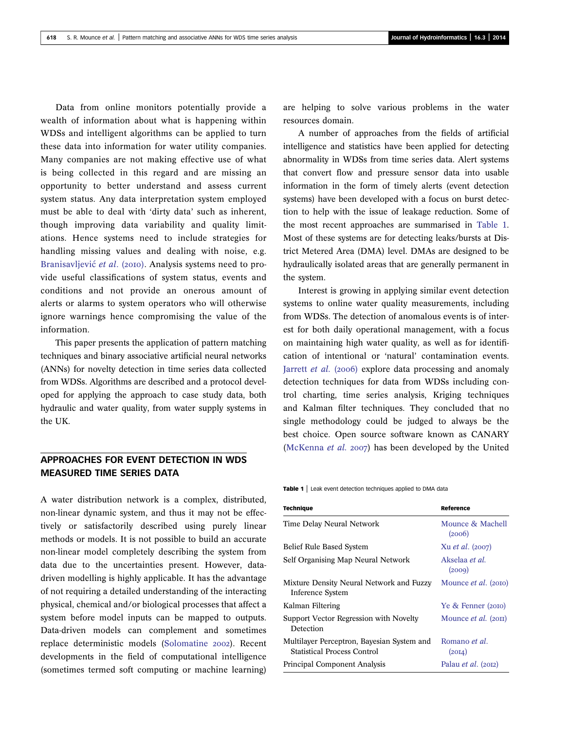Data from online monitors potentially provide a wealth of information about what is happening within WDSs and intelligent algorithms can be applied to turn these data into information for water utility companies. Many companies are not making effective use of what is being collected in this regard and are missing an opportunity to better understand and assess current system status. Any data interpretation system employed must be able to deal with 'dirty data' such as inherent, though improving data variability and quality limitations. Hence systems need to include strategies for handling missing values and dealing with noise, e.g. Branisavljević et al. (2010). Analysis systems need to provide useful classifications of system status, events and conditions and not provide an onerous amount of alerts or alarms to system operators who will otherwise ignore warnings hence compromising the value of the information.

This paper presents the application of pattern matching techniques and binary associative artificial neural networks (ANNs) for novelty detection in time series data collected from WDSs. Algorithms are described and a protocol developed for applying the approach to case study data, both hydraulic and water quality, from water supply systems in the UK.

# APPROACHES FOR EVENT DETECTION IN WDS MEASURED TIME SERIES DATA

A water distribution network is a complex, distributed, non-linear dynamic system, and thus it may not be effectively or satisfactorily described using purely linear methods or models. It is not possible to build an accurate non-linear model completely describing the system from data due to the uncertainties present. However, datadriven modelling is highly applicable. It has the advantage of not requiring a detailed understanding of the interacting physical, chemical and/or biological processes that affect a system before model inputs can be mapped to outputs. Data-driven models can complement and sometimes replace deterministic models ([Solomatine](#page-15-0) 2002). Recent developments in the field of computational intelligence (sometimes termed soft computing or machine learning)

are helping to solve various problems in the water resources domain.

A number of approaches from the fields of artificial intelligence and statistics have been applied for detecting abnormality in WDSs from time series data. Alert systems that convert flow and pressure sensor data into usable information in the form of timely alerts (event detection systems) have been developed with a focus on burst detection to help with the issue of leakage reduction. Some of the most recent approaches are summarised in Table 1. Most of these systems are for detecting leaks/bursts at District Metered Area (DMA) level. DMAs are designed to be hydraulically isolated areas that are generally permanent in the system.

Interest is growing in applying similar event detection systems to online water quality measurements, including from WDSs. The detection of anomalous events is of interest for both daily operational management, with a focus on maintaining high water quality, as well as for identification of intentional or 'natural' contamination events. [Jarrett](#page-14-0) et al. (2006) explore data processing and anomaly detection techniques for data from WDSs including control charting, time series analysis, Kriging techniques and Kalman filter techniques. They concluded that no single methodology could be judged to always be the best choice. Open source software known as CANARY ([McKenna](#page-14-0) et al. 2007) has been developed by the United

Table 1 | Leak event detection techniques applied to DMA data

| <b>Technique</b>                                                                 | Reference                       |
|----------------------------------------------------------------------------------|---------------------------------|
| Time Delay Neural Network                                                        | Mounce & Machell<br>(2006)      |
| Belief Rule Based System                                                         | Xu <i>et al.</i> (2007)         |
| Self Organising Map Neural Network                                               | Akselaa <i>et al.</i><br>(2009) |
| Mixture Density Neural Network and Fuzzy<br><b>Inference System</b>              | Mounce <i>et al.</i> (2010)     |
| Kalman Filtering                                                                 | Ye & Fenner (2010)              |
| Support Vector Regression with Novelty<br>Detection                              | Mounce <i>et al.</i> (2011)     |
| Multilayer Perceptron, Bayesian System and<br><b>Statistical Process Control</b> | Romano <i>et al.</i><br>(20I4)  |
| Principal Component Analysis                                                     | Palau <i>et al.</i> (2012)      |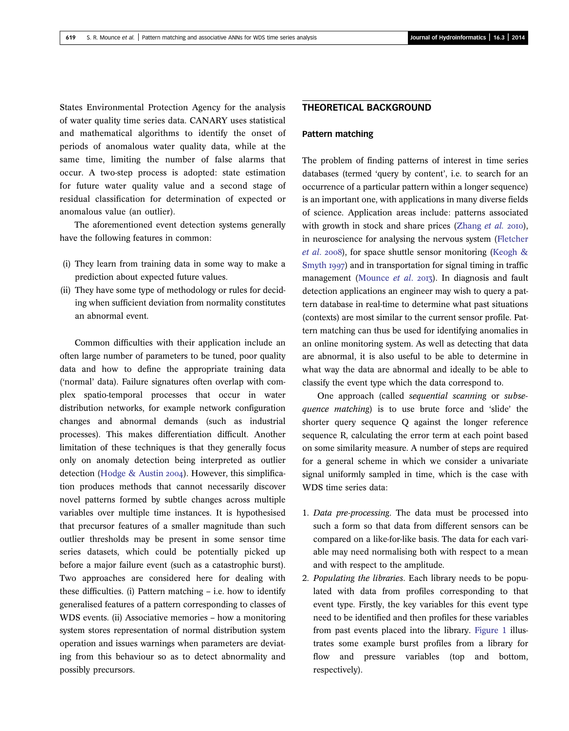States Environmental Protection Agency for the analysis of water quality time series data. CANARY uses statistical and mathematical algorithms to identify the onset of periods of anomalous water quality data, while at the same time, limiting the number of false alarms that occur. A two-step process is adopted: state estimation for future water quality value and a second stage of residual classification for determination of expected or anomalous value (an outlier).

The aforementioned event detection systems generally have the following features in common:

- (i) They learn from training data in some way to make a prediction about expected future values.
- (ii) They have some type of methodology or rules for deciding when sufficient deviation from normality constitutes an abnormal event.

Common difficulties with their application include an often large number of parameters to be tuned, poor quality data and how to define the appropriate training data ('normal' data). Failure signatures often overlap with complex spatio-temporal processes that occur in water distribution networks, for example network configuration changes and abnormal demands (such as industrial processes). This makes differentiation difficult. Another limitation of these techniques is that they generally focus only on anomaly detection being interpreted as outlier detection ([Hodge & Austin](#page-14-0) 2004). However, this simplification produces methods that cannot necessarily discover novel patterns formed by subtle changes across multiple variables over multiple time instances. It is hypothesised that precursor features of a smaller magnitude than such outlier thresholds may be present in some sensor time series datasets, which could be potentially picked up before a major failure event (such as a catastrophic burst). Two approaches are considered here for dealing with these difficulties. (i) Pattern matching – i.e. how to identify generalised features of a pattern corresponding to classes of WDS events. (ii) Associative memories – how a monitoring system stores representation of normal distribution system operation and issues warnings when parameters are deviating from this behaviour so as to detect abnormality and possibly precursors.

# THEORETICAL BACKGROUND

#### Pattern matching

The problem of finding patterns of interest in time series databases (termed 'query by content', i.e. to search for an occurrence of a particular pattern within a longer sequence) is an important one, with applications in many diverse fields of science. Application areas include: patterns associated with growth in stock and share prices [\(Zhang](#page-15-0) et al.  $20I0$ ), in neuroscience for analysing the nervous system ([Fletcher](#page-14-0) et al. 2008), for space shuttle sensor monitoring [\(Keogh &](#page-14-0) [Smyth](#page-14-0) 1997) and in transportation for signal timing in traffic management ([Mounce](#page-14-0) *et al.*  $2017$ ). In diagnosis and fault detection applications an engineer may wish to query a pattern database in real-time to determine what past situations (contexts) are most similar to the current sensor profile. Pattern matching can thus be used for identifying anomalies in an online monitoring system. As well as detecting that data are abnormal, it is also useful to be able to determine in what way the data are abnormal and ideally to be able to classify the event type which the data correspond to.

One approach (called sequential scanning or subsequence matching) is to use brute force and 'slide' the shorter query sequence Q against the longer reference sequence R, calculating the error term at each point based on some similarity measure. A number of steps are required for a general scheme in which we consider a univariate signal uniformly sampled in time, which is the case with WDS time series data:

- 1. Data pre-processing. The data must be processed into such a form so that data from different sensors can be compared on a like-for-like basis. The data for each variable may need normalising both with respect to a mean and with respect to the amplitude.
- 2. Populating the libraries. Each library needs to be populated with data from profiles corresponding to that event type. Firstly, the key variables for this event type need to be identified and then profiles for these variables from past events placed into the library. [Figure 1](#page-3-0) illustrates some example burst profiles from a library for flow and pressure variables (top and bottom, respectively).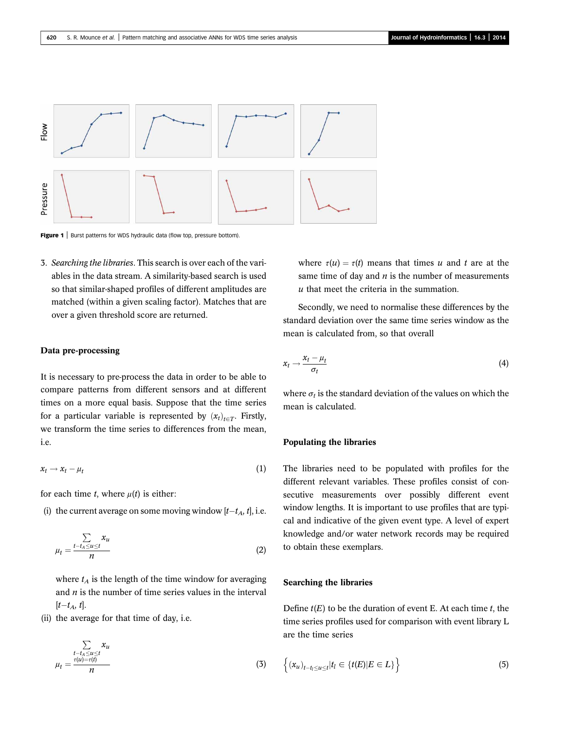<span id="page-3-0"></span>

Figure 1 | Burst patterns for WDS hydraulic data (flow top, pressure bottom).

3. Searching the libraries. This search is over each of the variables in the data stream. A similarity-based search is used so that similar-shaped profiles of different amplitudes are matched (within a given scaling factor). Matches that are over a given threshold score are returned.

### Data pre-processing

It is necessary to pre-process the data in order to be able to compare patterns from different sensors and at different times on a more equal basis. Suppose that the time series for a particular variable is represented by  $(x_t)_{t\in T}$ . Firstly, we transform the time series to differences from the mean, i.e.

$$
x_t \to x_t - \mu_t \tag{1}
$$

for each time t, where  $\mu(t)$  is either:

(i) the current average on some moving window  $[t-t_A, t]$ , i.e.

$$
\mu_t = \frac{\sum\limits_{t-t_A \le u \le t} x_u}{n} \tag{2}
$$

where  $t_A$  is the length of the time window for averaging and  $n$  is the number of time series values in the interval  $[t-t_A, t].$ 

(ii) the average for that time of day, i.e.

$$
\sum_{\substack{t-t_A \le u \le t \\ u_t = \frac{\tau(u) = \tau(t)}{n}}} x_u
$$
\n(3)

where  $\tau(u) = \tau(t)$  means that times u and t are at the same time of day and  $n$  is the number of measurements  $u$  that meet the criteria in the summation.

Secondly, we need to normalise these differences by the standard deviation over the same time series window as the mean is calculated from, so that overall

$$
x_t \to \frac{x_t - \mu_t}{\sigma_t} \tag{4}
$$

where  $\sigma_t$  is the standard deviation of the values on which the mean is calculated.

#### Populating the libraries

The libraries need to be populated with profiles for the different relevant variables. These profiles consist of consecutive measurements over possibly different event window lengths. It is important to use profiles that are typical and indicative of the given event type. A level of expert knowledge and/or water network records may be required to obtain these exemplars.

### Searching the libraries

Define  $t(E)$  to be the duration of event E. At each time t, the time series profiles used for comparison with event library L are the time series

$$
\left\{ (x_u)_{t-t_l \le u \le t} | t_l \in \{ t(E) | E \in L \} \right\}
$$
\n<sup>(5)</sup>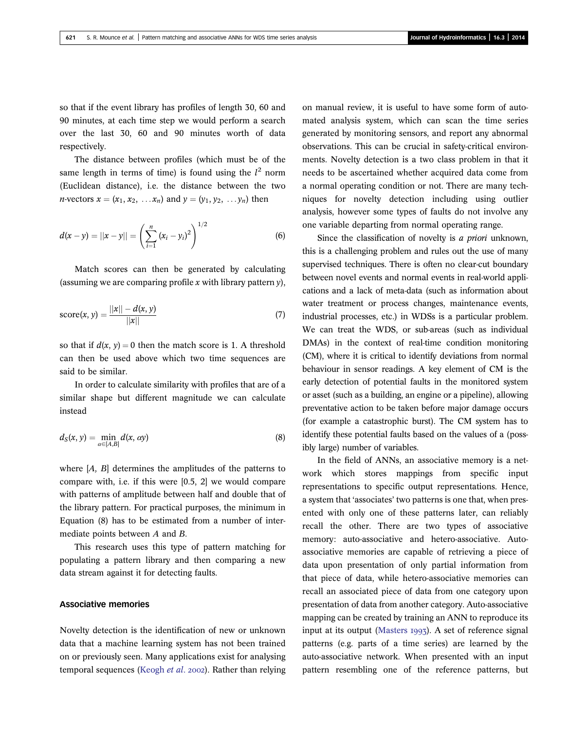so that if the event library has profiles of length 30, 60 and 90 minutes, at each time step we would perform a search over the last 30, 60 and 90 minutes worth of data respectively.

The distance between profiles (which must be of the same length in terms of time) is found using the  $l^2$  norm (Euclidean distance), i.e. the distance between the two *n*-vectors  $x = (x_1, x_2, \ldots, x_n)$  and  $y = (y_1, y_2, \ldots, y_n)$  then

$$
d(x - y) = ||x - y|| = \left(\sum_{i=1}^{n} (x_i - y_i)^2\right)^{1/2}
$$
 (6)

Match scores can then be generated by calculating (assuming we are comparing profile x with library pattern  $v$ ).

score(x, y) = 
$$
\frac{||x|| - d(x, y)}{||x||}
$$
 (7)

so that if  $d(x, y) = 0$  then the match score is 1. A threshold can then be used above which two time sequences are said to be similar.

In order to calculate similarity with profiles that are of a similar shape but different magnitude we can calculate instead

$$
d_{S}(x, y) = \min_{\alpha \in [A, B]} d(x, \alpha y)
$$
\n(8)

where  $[A, B]$  determines the amplitudes of the patterns to compare with, i.e. if this were [0.5, 2] we would compare with patterns of amplitude between half and double that of the library pattern. For practical purposes, the minimum in Equation (8) has to be estimated from a number of intermediate points between A and B.

This research uses this type of pattern matching for populating a pattern library and then comparing a new data stream against it for detecting faults.

#### Associative memories

Novelty detection is the identification of new or unknown data that a machine learning system has not been trained on or previously seen. Many applications exist for analysing temporal sequences ([Keogh](#page-14-0) et al. 2002). Rather than relying on manual review, it is useful to have some form of automated analysis system, which can scan the time series generated by monitoring sensors, and report any abnormal observations. This can be crucial in safety-critical environments. Novelty detection is a two class problem in that it needs to be ascertained whether acquired data come from a normal operating condition or not. There are many techniques for novelty detection including using outlier analysis, however some types of faults do not involve any one variable departing from normal operating range.

Since the classification of novelty is a priori unknown, this is a challenging problem and rules out the use of many supervised techniques. There is often no clear-cut boundary between novel events and normal events in real-world applications and a lack of meta-data (such as information about water treatment or process changes, maintenance events, industrial processes, etc.) in WDSs is a particular problem. We can treat the WDS, or sub-areas (such as individual DMAs) in the context of real-time condition monitoring (CM), where it is critical to identify deviations from normal behaviour in sensor readings. A key element of CM is the early detection of potential faults in the monitored system or asset (such as a building, an engine or a pipeline), allowing preventative action to be taken before major damage occurs (for example a catastrophic burst). The CM system has to identify these potential faults based on the values of a (possibly large) number of variables.

In the field of ANNs, an associative memory is a network which stores mappings from specific input representations to specific output representations. Hence, a system that 'associates' two patterns is one that, when presented with only one of these patterns later, can reliably recall the other. There are two types of associative memory: auto-associative and hetero-associative. Autoassociative memories are capable of retrieving a piece of data upon presentation of only partial information from that piece of data, while hetero-associative memories can recall an associated piece of data from one category upon presentation of data from another category. Auto-associative mapping can be created by training an ANN to reproduce its input at its output ([Masters](#page-14-0)  $1997$ ). A set of reference signal patterns (e.g. parts of a time series) are learned by the auto-associative network. When presented with an input pattern resembling one of the reference patterns, but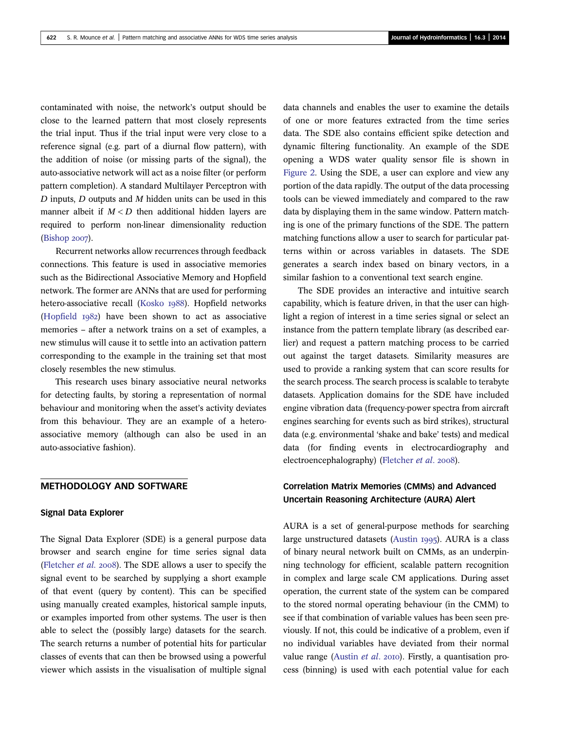contaminated with noise, the network's output should be close to the learned pattern that most closely represents the trial input. Thus if the trial input were very close to a reference signal (e.g. part of a diurnal flow pattern), with the addition of noise (or missing parts of the signal), the auto-associative network will act as a noise filter (or perform pattern completion). A standard Multilayer Perceptron with  $D$  inputs,  $D$  outputs and  $M$  hidden units can be used in this manner albeit if  $M < D$  then additional hidden layers are required to perform non-linear dimensionality reduction [\(Bishop](#page-14-0) 2007).

Recurrent networks allow recurrences through feedback connections. This feature is used in associative memories such as the Bidirectional Associative Memory and Hopfield network. The former are ANNs that are used for performing hetero-associative recall ([Kosko](#page-14-0) 1988). Hopfield networks ([Hopfield](#page-14-0)  $I_982$ ) have been shown to act as associative memories – after a network trains on a set of examples, a new stimulus will cause it to settle into an activation pattern corresponding to the example in the training set that most closely resembles the new stimulus.

This research uses binary associative neural networks for detecting faults, by storing a representation of normal behaviour and monitoring when the asset's activity deviates from this behaviour. They are an example of a heteroassociative memory (although can also be used in an auto-associative fashion).

#### METHODOLOGY AND SOFTWARE

#### Signal Data Explorer

The Signal Data Explorer (SDE) is a general purpose data browser and search engine for time series signal data ([Fletcher](#page-14-0) *et al.* 2008). The SDE allows a user to specify the signal event to be searched by supplying a short example of that event (query by content). This can be specified using manually created examples, historical sample inputs, or examples imported from other systems. The user is then able to select the (possibly large) datasets for the search. The search returns a number of potential hits for particular classes of events that can then be browsed using a powerful viewer which assists in the visualisation of multiple signal data channels and enables the user to examine the details of one or more features extracted from the time series data. The SDE also contains efficient spike detection and dynamic filtering functionality. An example of the SDE opening a WDS water quality sensor file is shown in [Figure 2](#page-6-0). Using the SDE, a user can explore and view any portion of the data rapidly. The output of the data processing tools can be viewed immediately and compared to the raw data by displaying them in the same window. Pattern matching is one of the primary functions of the SDE. The pattern matching functions allow a user to search for particular patterns within or across variables in datasets. The SDE generates a search index based on binary vectors, in a similar fashion to a conventional text search engine.

The SDE provides an interactive and intuitive search capability, which is feature driven, in that the user can highlight a region of interest in a time series signal or select an instance from the pattern template library (as described earlier) and request a pattern matching process to be carried out against the target datasets. Similarity measures are used to provide a ranking system that can score results for the search process. The search process is scalable to terabyte datasets. Application domains for the SDE have included engine vibration data (frequency-power spectra from aircraft engines searching for events such as bird strikes), structural data (e.g. environmental 'shake and bake' tests) and medical data (for finding events in electrocardiography and electroencephalography) ([Fletcher](#page-14-0) et al. 2008).

# Correlation Matrix Memories (CMMs) and Advanced Uncertain Reasoning Architecture (AURA) Alert

AURA is a set of general-purpose methods for searching large unstructured datasets [\(Austin](#page-14-0) 1995). AURA is a class of binary neural network built on CMMs, as an underpinning technology for efficient, scalable pattern recognition in complex and large scale CM applications. During asset operation, the current state of the system can be compared to the stored normal operating behaviour (in the CMM) to see if that combination of variable values has been seen previously. If not, this could be indicative of a problem, even if no individual variables have deviated from their normal value range ([Austin](#page-14-0) *et al.* 2010). Firstly, a quantisation process (binning) is used with each potential value for each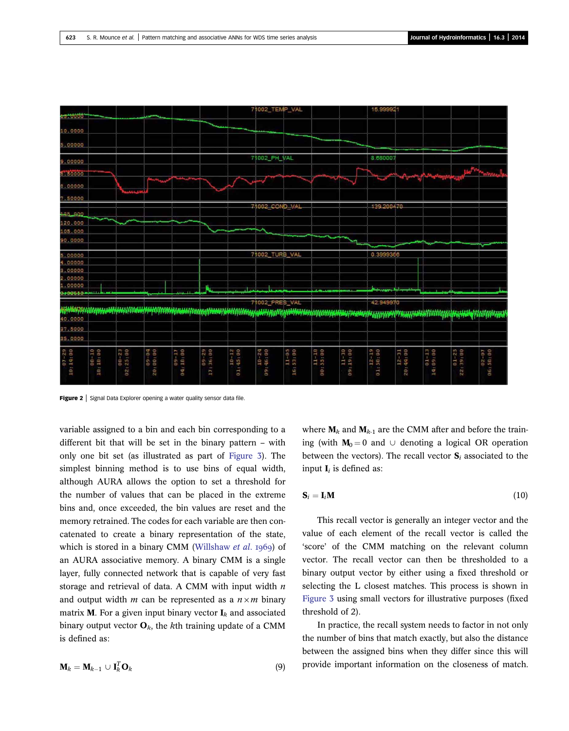<span id="page-6-0"></span>

Figure 2 | Signal Data Explorer opening a water quality sensor data file.

variable assigned to a bin and each bin corresponding to a different bit that will be set in the binary pattern – with only one bit set (as illustrated as part of [Figure 3](#page-7-0)). The simplest binning method is to use bins of equal width, although AURA allows the option to set a threshold for the number of values that can be placed in the extreme bins and, once exceeded, the bin values are reset and the memory retrained. The codes for each variable are then concatenated to create a binary representation of the state, which is stored in a binary CMM ([Willshaw](#page-15-0) et al. 1969) of an AURA associative memory. A binary CMM is a single layer, fully connected network that is capable of very fast storage and retrieval of data. A CMM with input width  $n$ and output width *m* can be represented as a  $n \times m$  binary matrix **M**. For a given input binary vector  $I_k$  and associated binary output vector  $O_k$ , the kth training update of a CMM is defined as:

$$
\mathbf{M}_k = \mathbf{M}_{k-1} \cup \mathbf{I}_k^T \mathbf{O}_k
$$
 (9)

where  $M_k$  and  $M_{k-1}$  are the CMM after and before the training (with  $M_0 = 0$  and ∪ denoting a logical OR operation between the vectors). The recall vector  $S_i$  associated to the input  $I_i$  is defined as:

$$
\mathbf{S}_i = \mathbf{I}_i \mathbf{M} \tag{10}
$$

This recall vector is generally an integer vector and the value of each element of the recall vector is called the 'score' of the CMM matching on the relevant column vector. The recall vector can then be thresholded to a binary output vector by either using a fixed threshold or selecting the L closest matches. This process is shown in [Figure 3](#page-7-0) using small vectors for illustrative purposes (fixed threshold of 2).

In practice, the recall system needs to factor in not only the number of bins that match exactly, but also the distance between the assigned bins when they differ since this will provide important information on the closeness of match.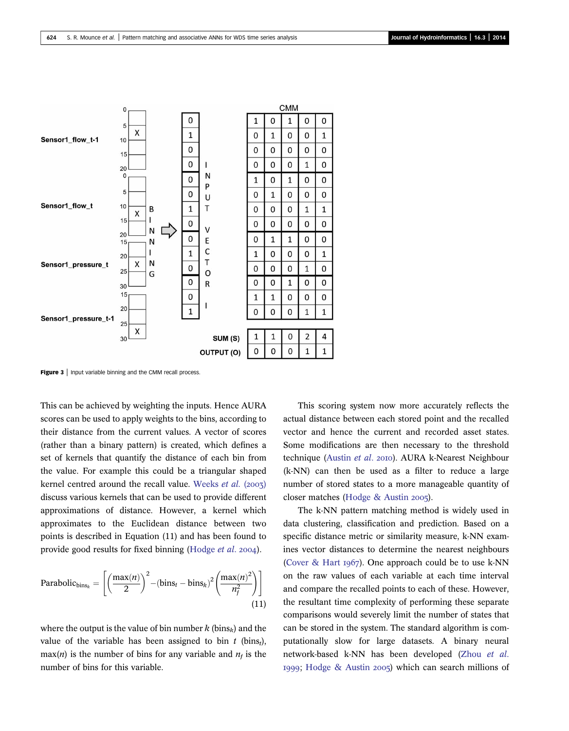<span id="page-7-0"></span>

Figure 3 | Input variable binning and the CMM recall process.

This can be achieved by weighting the inputs. Hence AURA scores can be used to apply weights to the bins, according to their distance from the current values. A vector of scores (rather than a binary pattern) is created, which defines a set of kernels that quantify the distance of each bin from the value. For example this could be a triangular shaped kernel centred around the recall value. [Weeks](#page-15-0)  $et$   $al.$  (2003) discuss various kernels that can be used to provide different approximations of distance. However, a kernel which approximates to the Euclidean distance between two points is described in Equation (11) and has been found to provide good results for fixed binning [\(Hodge](#page-14-0) *et al.* 2004).

Parabolic<sub>bins<sub>k</sub></sub> = 
$$
\left[ \left( \frac{\max(n)}{2} \right)^2 - (\text{bins}_t - \text{bins}_k)^2 \left( \frac{\max(n)^2}{n_f^2} \right) \right]
$$
(11)

where the output is the value of bin number k (bins<sub>k</sub>) and the value of the variable has been assigned to bin  $t$  (bins<sub>t</sub>),  $max(n)$  is the number of bins for any variable and  $n<sub>f</sub>$  is the number of bins for this variable.

This scoring system now more accurately reflects the actual distance between each stored point and the recalled vector and hence the current and recorded asset states. Some modifications are then necessary to the threshold technique ([Austin](#page-14-0) et al. 2010). AURA k-Nearest Neighbour (k-NN) can then be used as a filter to reduce a large number of stored states to a more manageable quantity of closer matches [\(Hodge & Austin](#page-14-0) 2005).

The k-NN pattern matching method is widely used in data clustering, classification and prediction. Based on a specific distance metric or similarity measure, k-NN examines vector distances to determine the nearest neighbours ([Cover & Hart](#page-14-0)  $1967$ ). One approach could be to use k-NN on the raw values of each variable at each time interval and compare the recalled points to each of these. However, the resultant time complexity of performing these separate comparisons would severely limit the number of states that can be stored in the system. The standard algorithm is computationally slow for large datasets. A binary neural network-based k-NN has been developed ([Zhou](#page-15-0) et al. 1999; [Hodge & Austin](#page-14-0) 2005) which can search millions of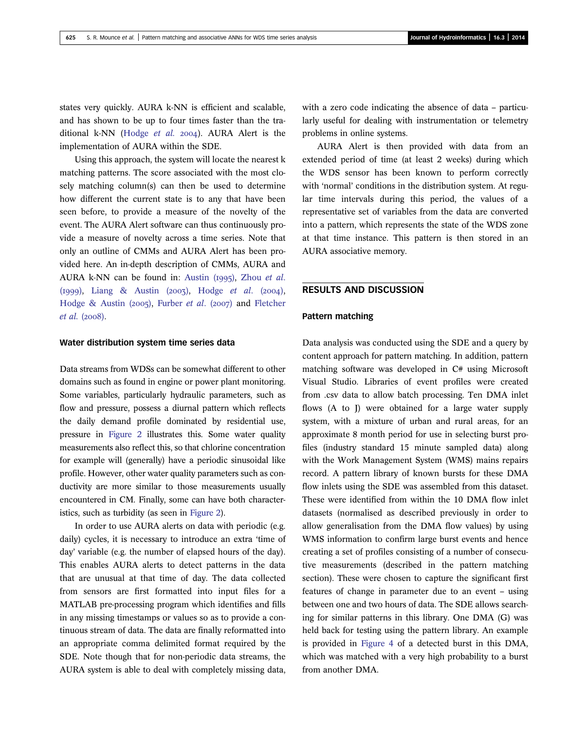states very quickly. AURA k-NN is efficient and scalable, and has shown to be up to four times faster than the tra-ditional k-NN [\(Hodge](#page-14-0) et al.  $2004$ ). AURA Alert is the implementation of AURA within the SDE.

Using this approach, the system will locate the nearest k matching patterns. The score associated with the most closely matching column(s) can then be used to determine how different the current state is to any that have been seen before, to provide a measure of the novelty of the event. The AURA Alert software can thus continuously provide a measure of novelty across a time series. Note that only an outline of CMMs and AURA Alert has been provided here. An in-depth description of CMMs, AURA and AURA k-NN can be found in: Austin  $(1995)$ , [Zhou](#page-15-0) et al. (1999), [Liang & Austin \(](#page-14-0)2003), [Hodge](#page-14-0) et al. (2004), [Hodge & Austin \(](#page-14-0)2005), [Furber](#page-14-0) et al. (2007) and [Fletcher](#page-14-0)  $et$  al. (2008).

#### Water distribution system time series data

Data streams from WDSs can be somewhat different to other domains such as found in engine or power plant monitoring. Some variables, particularly hydraulic parameters, such as flow and pressure, possess a diurnal pattern which reflects the daily demand profile dominated by residential use, pressure in [Figure 2](#page-6-0) illustrates this. Some water quality measurements also reflect this, so that chlorine concentration for example will (generally) have a periodic sinusoidal like profile. However, other water quality parameters such as conductivity are more similar to those measurements usually encountered in CM. Finally, some can have both characteristics, such as turbidity (as seen in [Figure 2](#page-6-0)).

In order to use AURA alerts on data with periodic (e.g. daily) cycles, it is necessary to introduce an extra 'time of day' variable (e.g. the number of elapsed hours of the day). This enables AURA alerts to detect patterns in the data that are unusual at that time of day. The data collected from sensors are first formatted into input files for a MATLAB pre-processing program which identifies and fills in any missing timestamps or values so as to provide a continuous stream of data. The data are finally reformatted into an appropriate comma delimited format required by the SDE. Note though that for non-periodic data streams, the AURA system is able to deal with completely missing data,

with a zero code indicating the absence of data – particularly useful for dealing with instrumentation or telemetry problems in online systems.

AURA Alert is then provided with data from an extended period of time (at least 2 weeks) during which the WDS sensor has been known to perform correctly with 'normal' conditions in the distribution system. At regular time intervals during this period, the values of a representative set of variables from the data are converted into a pattern, which represents the state of the WDS zone at that time instance. This pattern is then stored in an AURA associative memory.

### RESULTS AND DISCUSSION

#### Pattern matching

Data analysis was conducted using the SDE and a query by content approach for pattern matching. In addition, pattern matching software was developed in C# using Microsoft Visual Studio. Libraries of event profiles were created from .csv data to allow batch processing. Ten DMA inlet flows (A to J) were obtained for a large water supply system, with a mixture of urban and rural areas, for an approximate 8 month period for use in selecting burst profiles (industry standard 15 minute sampled data) along with the Work Management System (WMS) mains repairs record. A pattern library of known bursts for these DMA flow inlets using the SDE was assembled from this dataset. These were identified from within the 10 DMA flow inlet datasets (normalised as described previously in order to allow generalisation from the DMA flow values) by using WMS information to confirm large burst events and hence creating a set of profiles consisting of a number of consecutive measurements (described in the pattern matching section). These were chosen to capture the significant first features of change in parameter due to an event – using between one and two hours of data. The SDE allows searching for similar patterns in this library. One DMA (G) was held back for testing using the pattern library. An example is provided in [Figure 4](#page-9-0) of a detected burst in this DMA, which was matched with a very high probability to a burst from another DMA.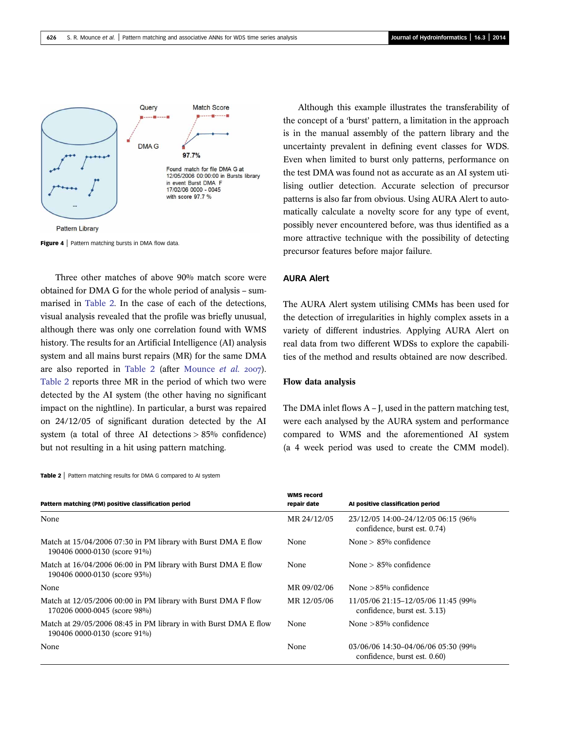<span id="page-9-0"></span>

Figure 4 | Pattern matching bursts in DMA flow data.

Three other matches of above 90% match score were obtained for DMA G for the whole period of analysis – summarised in Table 2. In the case of each of the detections, visual analysis revealed that the profile was briefly unusual, although there was only one correlation found with WMS history. The results for an Artificial Intelligence (AI) analysis system and all mains burst repairs (MR) for the same DMA are also reported in Table 2 (after [Mounce](#page-14-0) et al. 2007). Table 2 reports three MR in the period of which two were detected by the AI system (the other having no significant impact on the nightline). In particular, a burst was repaired on 24/12/05 of significant duration detected by the AI system (a total of three AI detections  $> 85\%$  confidence) but not resulting in a hit using pattern matching.

Table 2 | Pattern matching results for DMA G compared to AI system

Although this example illustrates the transferability of the concept of a 'burst' pattern, a limitation in the approach is in the manual assembly of the pattern library and the uncertainty prevalent in defining event classes for WDS. Even when limited to burst only patterns, performance on the test DMA was found not as accurate as an AI system utilising outlier detection. Accurate selection of precursor patterns is also far from obvious. Using AURA Alert to automatically calculate a novelty score for any type of event, possibly never encountered before, was thus identified as a more attractive technique with the possibility of detecting precursor features before major failure.

### AURA Alert

The AURA Alert system utilising CMMs has been used for the detection of irregularities in highly complex assets in a variety of different industries. Applying AURA Alert on real data from two different WDSs to explore the capabilities of the method and results obtained are now described.

#### Flow data analysis

The DMA inlet flows  $A - I$ , used in the pattern matching test, were each analysed by the AURA system and performance compared to WMS and the aforementioned AI system (a 4 week period was used to create the CMM model).

| Pattern matching (PM) positive classification period                                             | <b>WMS record</b><br>repair date | Al positive classification period                                   |
|--------------------------------------------------------------------------------------------------|----------------------------------|---------------------------------------------------------------------|
| None                                                                                             | MR 24/12/05                      | 23/12/05 14:00-24/12/05 06:15 (96%)<br>confidence, burst est. 0.74) |
| Match at 15/04/2006 07:30 in PM library with Burst DMA E flow<br>190406 0000-0130 (score 91%)    | None                             | None $> 85\%$ confidence                                            |
| Match at 16/04/2006 06:00 in PM library with Burst DMA E flow<br>190406 0000-0130 (score 93%)    | None                             | None $> 85\%$ confidence                                            |
| None                                                                                             | MR 09/02/06                      | None $>85\%$ confidence                                             |
| Match at 12/05/2006 00:00 in PM library with Burst DMA F flow<br>170206 0000-0045 (score 98%)    | MR 12/05/06                      | 11/05/06 21:15-12/05/06 11:45 (99%)<br>confidence, burst est. 3.13) |
| Match at 29/05/2006 08:45 in PM library in with Burst DMA E flow<br>190406 0000-0130 (score 91%) | None                             | None $>85\%$ confidence                                             |
| None                                                                                             | None                             | 03/06/06 14:30-04/06/06 05:30 (99%)<br>confidence, burst est. 0.60) |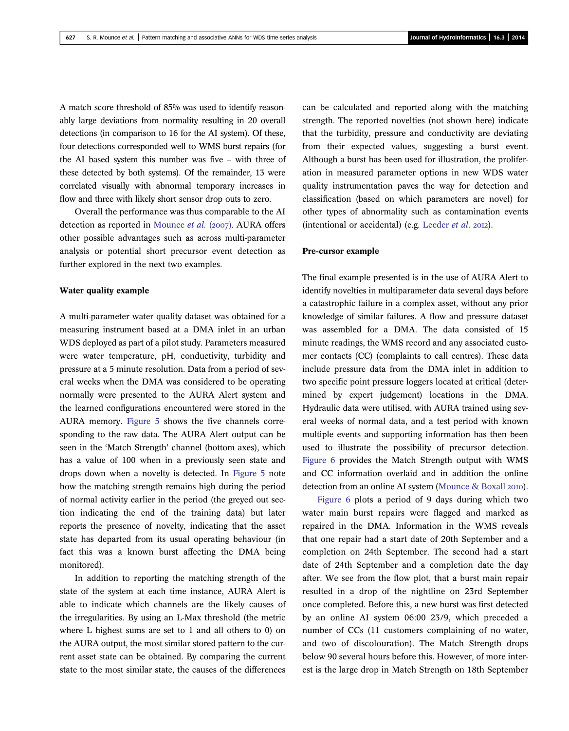A match score threshold of 85% was used to identify reasonably large deviations from normality resulting in 20 overall detections (in comparison to 16 for the AI system). Of these, four detections corresponded well to WMS burst repairs (for the AI based system this number was five – with three of these detected by both systems). Of the remainder, 13 were correlated visually with abnormal temporary increases in flow and three with likely short sensor drop outs to zero.

Overall the performance was thus comparable to the AI detection as reported in [Mounce](#page-14-0) et al. (2007). AURA offers other possible advantages such as across multi-parameter analysis or potential short precursor event detection as further explored in the next two examples.

### Water quality example

A multi-parameter water quality dataset was obtained for a measuring instrument based at a DMA inlet in an urban WDS deployed as part of a pilot study. Parameters measured were water temperature, pH, conductivity, turbidity and pressure at a 5 minute resolution. Data from a period of several weeks when the DMA was considered to be operating normally were presented to the AURA Alert system and the learned configurations encountered were stored in the AURA memory. [Figure 5](#page-11-0) shows the five channels corresponding to the raw data. The AURA Alert output can be seen in the 'Match Strength' channel (bottom axes), which has a value of 100 when in a previously seen state and drops down when a novelty is detected. In [Figure 5](#page-11-0) note how the matching strength remains high during the period of normal activity earlier in the period (the greyed out section indicating the end of the training data) but later reports the presence of novelty, indicating that the asset state has departed from its usual operating behaviour (in fact this was a known burst affecting the DMA being monitored).

In addition to reporting the matching strength of the state of the system at each time instance, AURA Alert is able to indicate which channels are the likely causes of the irregularities. By using an L-Max threshold (the metric where L highest sums are set to 1 and all others to 0) on the AURA output, the most similar stored pattern to the current asset state can be obtained. By comparing the current state to the most similar state, the causes of the differences

can be calculated and reported along with the matching strength. The reported novelties (not shown here) indicate that the turbidity, pressure and conductivity are deviating from their expected values, suggesting a burst event. Although a burst has been used for illustration, the proliferation in measured parameter options in new WDS water quality instrumentation paves the way for detection and classification (based on which parameters are novel) for other types of abnormality such as contamination events (intentional or accidental) (e.g. [Leeder](#page-14-0)  $et$   $al.$  2012).

#### Pre-cursor example

The final example presented is in the use of AURA Alert to identify novelties in multiparameter data several days before a catastrophic failure in a complex asset, without any prior knowledge of similar failures. A flow and pressure dataset was assembled for a DMA. The data consisted of 15 minute readings, the WMS record and any associated customer contacts (CC) (complaints to call centres). These data include pressure data from the DMA inlet in addition to two specific point pressure loggers located at critical (determined by expert judgement) locations in the DMA. Hydraulic data were utilised, with AURA trained using several weeks of normal data, and a test period with known multiple events and supporting information has then been used to illustrate the possibility of precursor detection. [Figure 6](#page-12-0) provides the Match Strength output with WMS and CC information overlaid and in addition the online detection from an online AI system ([Mounce & Boxall](#page-14-0) 2010).

[Figure 6](#page-12-0) plots a period of 9 days during which two water main burst repairs were flagged and marked as repaired in the DMA. Information in the WMS reveals that one repair had a start date of 20th September and a completion on 24th September. The second had a start date of 24th September and a completion date the day after. We see from the flow plot, that a burst main repair resulted in a drop of the nightline on 23rd September once completed. Before this, a new burst was first detected by an online AI system 06:00 23/9, which preceded a number of CCs (11 customers complaining of no water, and two of discolouration). The Match Strength drops below 90 several hours before this. However, of more interest is the large drop in Match Strength on 18th September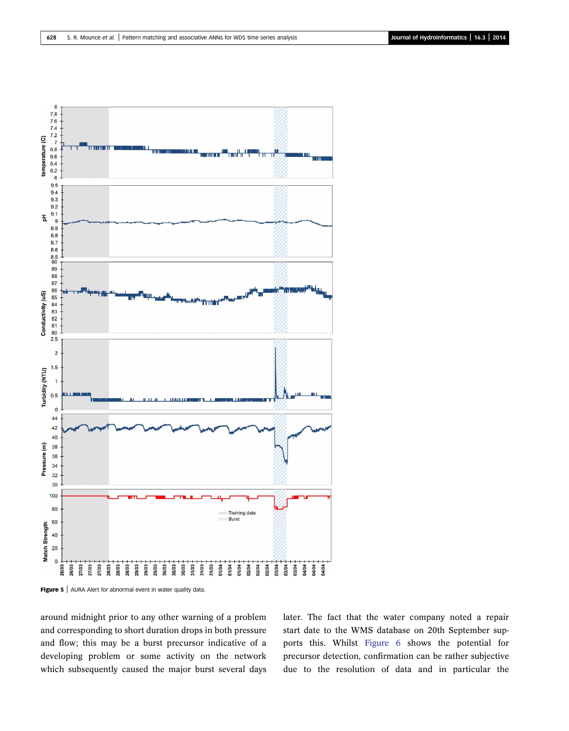<span id="page-11-0"></span>

Figure 5 | AURA Alert for abnormal event in water quality data.

around midnight prior to any other warning of a problem and corresponding to short duration drops in both pressure and flow; this may be a burst precursor indicative of a developing problem or some activity on the network which subsequently caused the major burst several days later. The fact that the water company noted a repair start date to the WMS database on 20th September supports this. Whilst [Figure 6](#page-12-0) shows the potential for precursor detection, confirmation can be rather subjective due to the resolution of data and in particular the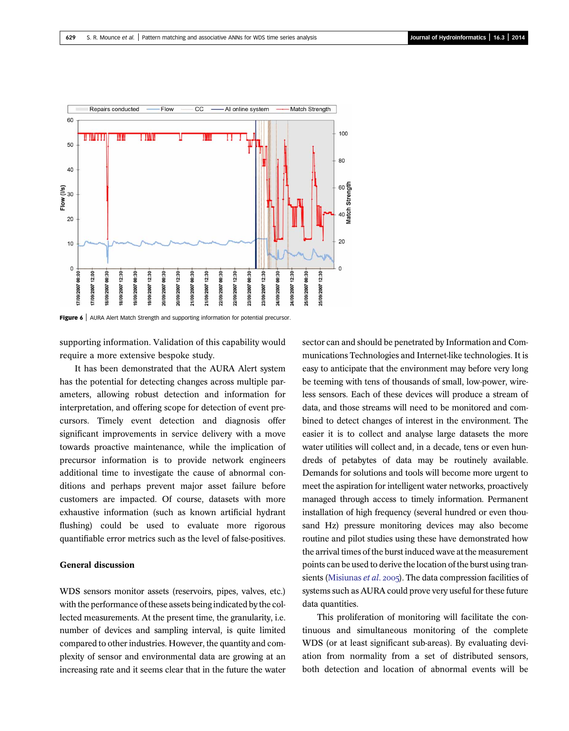<span id="page-12-0"></span>

Figure 6 | AURA Alert Match Strength and supporting information for potential precursor.

supporting information. Validation of this capability would require a more extensive bespoke study.

It has been demonstrated that the AURA Alert system has the potential for detecting changes across multiple parameters, allowing robust detection and information for interpretation, and offering scope for detection of event precursors. Timely event detection and diagnosis offer significant improvements in service delivery with a move towards proactive maintenance, while the implication of precursor information is to provide network engineers additional time to investigate the cause of abnormal conditions and perhaps prevent major asset failure before customers are impacted. Of course, datasets with more exhaustive information (such as known artificial hydrant flushing) could be used to evaluate more rigorous quantifiable error metrics such as the level of false-positives.

# General discussion

WDS sensors monitor assets (reservoirs, pipes, valves, etc.) with the performance of these assets being indicated by the collected measurements. At the present time, the granularity, i.e. number of devices and sampling interval, is quite limited compared to other industries. However, the quantity and complexity of sensor and environmental data are growing at an increasing rate and it seems clear that in the future the water sector can and should be penetrated by Information and Communications Technologies and Internet-like technologies. It is easy to anticipate that the environment may before very long be teeming with tens of thousands of small, low-power, wireless sensors. Each of these devices will produce a stream of data, and those streams will need to be monitored and combined to detect changes of interest in the environment. The easier it is to collect and analyse large datasets the more water utilities will collect and, in a decade, tens or even hundreds of petabytes of data may be routinely available. Demands for solutions and tools will become more urgent to meet the aspiration for intelligent water networks, proactively managed through access to timely information. Permanent installation of high frequency (several hundred or even thousand Hz) pressure monitoring devices may also become routine and pilot studies using these have demonstrated how the arrival times of the burst induced wave at the measurement points can be used to derive the location of the burst using tran-sients [\(Misiunas](#page-14-0) et al. 2005). The data compression facilities of systems such as AURA could prove very useful for these future data quantities.

This proliferation of monitoring will facilitate the continuous and simultaneous monitoring of the complete WDS (or at least significant sub-areas). By evaluating deviation from normality from a set of distributed sensors, both detection and location of abnormal events will be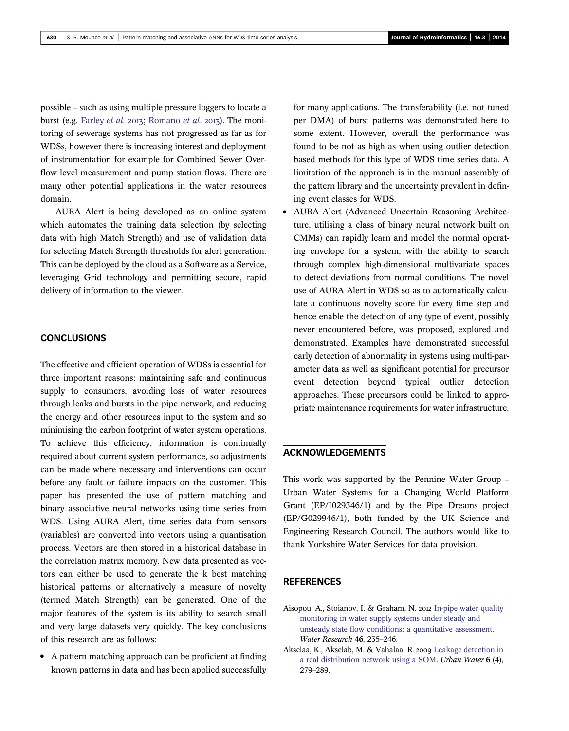<span id="page-13-0"></span>possible – such as using multiple pressure loggers to locate a burst (e.g. [Farley](#page-14-0) et al. 2013; [Romano](#page-14-0) et al. 2013). The monitoring of sewerage systems has not progressed as far as for WDSs, however there is increasing interest and deployment of instrumentation for example for Combined Sewer Overflow level measurement and pump station flows. There are many other potential applications in the water resources domain.

AURA Alert is being developed as an online system which automates the training data selection (by selecting data with high Match Strength) and use of validation data for selecting Match Strength thresholds for alert generation. This can be deployed by the cloud as a Software as a Service, leveraging Grid technology and permitting secure, rapid delivery of information to the viewer.

# **CONCLUSIONS**

The effective and efficient operation of WDSs is essential for three important reasons: maintaining safe and continuous supply to consumers, avoiding loss of water resources through leaks and bursts in the pipe network, and reducing the energy and other resources input to the system and so minimising the carbon footprint of water system operations. To achieve this efficiency, information is continually required about current system performance, so adjustments can be made where necessary and interventions can occur before any fault or failure impacts on the customer. This paper has presented the use of pattern matching and binary associative neural networks using time series from WDS. Using AURA Alert, time series data from sensors (variables) are converted into vectors using a quantisation process. Vectors are then stored in a historical database in the correlation matrix memory. New data presented as vectors can either be used to generate the k best matching historical patterns or alternatively a measure of novelty (termed Match Strength) can be generated. One of the major features of the system is its ability to search small and very large datasets very quickly. The key conclusions of this research are as follows:

• A pattern matching approach can be proficient at finding known patterns in data and has been applied successfully

for many applications. The transferability (i.e. not tuned per DMA) of burst patterns was demonstrated here to some extent. However, overall the performance was found to be not as high as when using outlier detection based methods for this type of WDS time series data. A limitation of the approach is in the manual assembly of the pattern library and the uncertainty prevalent in defining event classes for WDS.

• AURA Alert (Advanced Uncertain Reasoning Architecture, utilising a class of binary neural network built on CMMs) can rapidly learn and model the normal operating envelope for a system, with the ability to search through complex high-dimensional multivariate spaces to detect deviations from normal conditions. The novel use of AURA Alert in WDS so as to automatically calculate a continuous novelty score for every time step and hence enable the detection of any type of event, possibly never encountered before, was proposed, explored and demonstrated. Examples have demonstrated successful early detection of abnormality in systems using multi-parameter data as well as significant potential for precursor event detection beyond typical outlier detection approaches. These precursors could be linked to appropriate maintenance requirements for water infrastructure.

# ACKNOWLEDGEMENTS

This work was supported by the Pennine Water Group – Urban Water Systems for a Changing World Platform Grant (EP/I029346/1) and by the Pipe Dreams project (EP/G029946/1), both funded by the UK Science and Engineering Research Council. The authors would like to thank Yorkshire Water Services for data provision.

# **REFERENCES**

- Aisopou, A., Stoianov, I. & Graham, N. 2012 [In-pipe water quality](http://dx.doi.org/10.1016/j.watres.2011.10.058) [monitoring in water supply systems under steady and](http://dx.doi.org/10.1016/j.watres.2011.10.058) unsteady state fl[ow conditions: a quantitative assessment](http://dx.doi.org/10.1016/j.watres.2011.10.058). Water Research 46, 235–246.
- Akselaa, K., Akselab, M. & Vahalaa, R. 2009 [Leakage detection in](http://dx.doi.org/10.1080/15730620802673079) [a real distribution network using a SOM](http://dx.doi.org/10.1080/15730620802673079). Urban Water 6 (4), 279–289.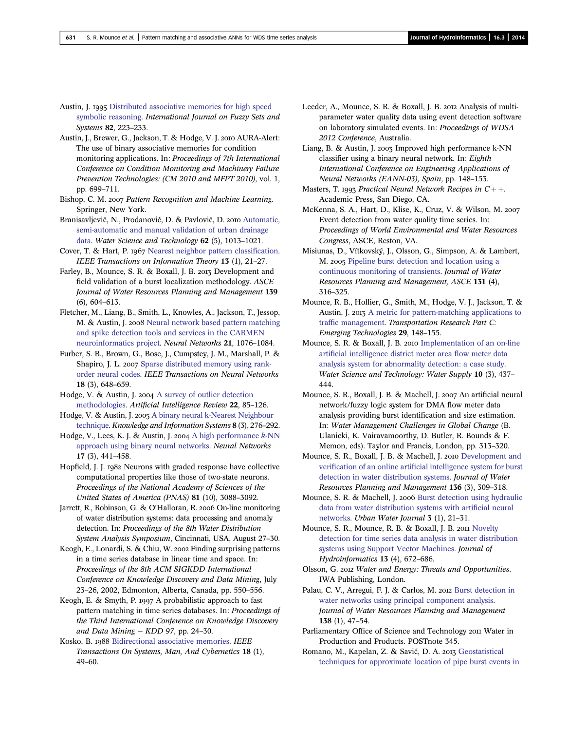<span id="page-14-0"></span>Austin, J. 1995 [Distributed associative memories for high speed](http://dx.doi.org/10.1016/0165-0114(95)00258-8) [symbolic reasoning](http://dx.doi.org/10.1016/0165-0114(95)00258-8). International Journal on Fuzzy Sets and Systems 82, 223–233.

Austin, J., Brewer, G., Jackson, T. & Hodge, V. J. 2010 AURA-Alert: The use of binary associative memories for condition monitoring applications. In: Proceedings of 7th International Conference on Condition Monitoring and Machinery Failure Prevention Technologies: (CM 2010 and MFPT 2010), vol. 1, pp. 699–711.

Bishop, C. M. 2007 Pattern Recognition and Machine Learning. Springer, New York.

Branisavljević, N., Prodanović, D. & Pavlović, D. 2010 [Automatic,](http://dx.doi.org/10.2166/wst.2010.350) [semi-automatic and manual validation of urban drainage](http://dx.doi.org/10.2166/wst.2010.350) [data](http://dx.doi.org/10.2166/wst.2010.350). Water Science and Technology 62 (5), 1013–1021.

Cover, T. & Hart, P. 1967 [Nearest neighbor pattern classi](http://dx.doi.org/10.1109/TIT.1967.1053964)fication. IEEE Transactions on Information Theory 13 (1), 21–27.

Farley, B., Mounce, S. R. & Boxall, J. B. 2013 Development and field validation of a burst localization methodology. ASCE Journal of Water Resources Planning and Management 139 (6), 604–613.

Fletcher, M., Liang, B., Smith, L., Knowles, A., Jackson, T., Jessop, M. & Austin, J. 2008 [Neural network based pattern matching](http://dx.doi.org/10.1016/j.neunet.2008.06.009) [and spike detection tools and services in the CARMEN](http://dx.doi.org/10.1016/j.neunet.2008.06.009) [neuroinformatics project](http://dx.doi.org/10.1016/j.neunet.2008.06.009). Neural Networks 21, 1076–1084.

Furber, S. B., Brown, G., Bose, J., Cumpstey, J. M., Marshall, P. & Shapiro, J. L. 2007 [Sparse distributed memory using rank](http://dx.doi.org/10.1109/TNN.2006.890804)[order neural codes](http://dx.doi.org/10.1109/TNN.2006.890804). IEEE Transactions on Neural Networks 18 (3), 648–659.

Hodge, V. & Austin, J. 2004 [A survey of outlier detection](http://dx.doi.org/10.1023/B:AIRE.0000045502.10941.a9) [methodologies](http://dx.doi.org/10.1023/B:AIRE.0000045502.10941.a9). Artificial Intelligence Review 22, 85–126.

Hodge, V. & Austin, J. 2005 [A binary neural k-Nearest Neighbour](http://dx.doi.org/10.1007/s10115-004-0191-4) [technique.](http://dx.doi.org/10.1007/s10115-004-0191-4) Knowledge and Information Systems 8 (3), 276–292.

Hodge, V., Lees, K. J. & Austin, J. 2004 [A high performance](http://dx.doi.org/10.1016/j.neunet.2003.11.008)  $k$ -NN [approach using binary neural networks](http://dx.doi.org/10.1016/j.neunet.2003.11.008). Neural Networks 17 (3), 441–458.

Hopfield, J. J. 1982 Neurons with graded response have collective computational properties like those of two-state neurons. Proceedings of the National Academy of Sciences of the United States of America (PNAS) 81 (10), 3088–3092.

Jarrett, R., Robinson, G. & O'Halloran, R. 2006 On-line monitoring of water distribution systems: data processing and anomaly detection. In: Proceedings of the 8th Water Distribution System Analysis Symposium, Cincinnati, USA, August 27–30.

Keogh, E., Lonardi, S. & Chiu, W. 2002 Finding surprising patterns in a time series database in linear time and space. In: Proceedings of the 8th ACM SIGKDD International Conference on Knowledge Discovery and Data Mining, July 23–26, 2002, Edmonton, Alberta, Canada, pp. 550–556.

Keogh, E. & Smyth, P. 1997 A probabilistic approach to fast pattern matching in time series databases. In: Proceedings of the Third International Conference on Knowledge Discovery and Data Mining — KDD 97, pp. 24–30.

Kosko, B. 1988 [Bidirectional associative memories.](http://dx.doi.org/10.1109/21.87054) IEEE Transactions On Systems, Man, And Cybernetics 18 (1), 49–60.

Leeder, A., Mounce, S. R. & Boxall, J. B. 2012 Analysis of multiparameter water quality data using event detection software on laboratory simulated events. In: Proceedings of WDSA 2012 Conference, Australia.

Liang, B. & Austin, J. 2003 Improved high performance k-NN classifier using a binary neural network. In: Eighth International Conference on Engineering Applications of Neural Networks (EANN-03), Spain, pp. 148–153.

Masters, T. 1993 Practical Neural Network Recipes in  $C_{++}$ . Academic Press, San Diego, CA.

McKenna, S. A., Hart, D., Klise, K., Cruz, V. & Wilson, M. Event detection from water quality time series. In: Proceedings of World Environmental and Water Resources Congress, ASCE, Reston, VA.

Misiunas, D., Vítkovský, J., Olsson, G., Simpson, A. & Lambert, M. 2005 [Pipeline burst detection and location using a](http://dx.doi.org/10.1061/(ASCE)0733-9496(2005)131:4(316)) [continuous monitoring of transients.](http://dx.doi.org/10.1061/(ASCE)0733-9496(2005)131:4(316)) Journal of Water Resources Planning and Management, ASCE 131 (4), 316–325.

Mounce, R. B., Hollier, G., Smith, M., Hodge, V. J., Jackson, T. & Austin, J. 2013 [A metric for pattern-matching applications to](http://dx.doi.org/10.1016/j.trc.2012.04.019) traffi[c management.](http://dx.doi.org/10.1016/j.trc.2012.04.019) Transportation Research Part C: Emerging Technologies 29, 148–155.

Mounce, S. R. & Boxall, J. B. 2010 [Implementation of an on-line](http://dx.doi.org/10.2166/ws.2010.697) artifi[cial intelligence district meter area](http://dx.doi.org/10.2166/ws.2010.697) flow meter data [analysis system for abnormality detection: a case study](http://dx.doi.org/10.2166/ws.2010.697). Water Science and Technology: Water Supply 10 (3), 437– 444.

Mounce, S. R., Boxall, J. B. & Machell, J. 2007 An artificial neural network/fuzzy logic system for DMA flow meter data analysis providing burst identification and size estimation. In: Water Management Challenges in Global Change (B. Ulanicki, K. Vairavamoorthy, D. Butler, R. Bounds & F. Memon, eds). Taylor and Francis, London, pp. 313–320.

Mounce, S. R., Boxall, J. B. & Machell, J. 2010 [Development and](http://dx.doi.org/10.1061/(ASCE)WR.1943-5452.0000030) verification of an online artifi[cial intelligence system for burst](http://dx.doi.org/10.1061/(ASCE)WR.1943-5452.0000030) [detection in water distribution systems.](http://dx.doi.org/10.1061/(ASCE)WR.1943-5452.0000030) Journal of Water Resources Planning and Management 136 (3), 309–318.

Mounce, S. R. & Machell, J. 2006 [Burst detection using hydraulic](http://dx.doi.org/10.1080/15730620600578538) [data from water distribution systems with arti](http://dx.doi.org/10.1080/15730620600578538)ficial neural [networks](http://dx.doi.org/10.1080/15730620600578538). Urban Water Journal 3 (1), 21–31.

Mounce, S. R., Mounce, R. B. & Boxall, J. B. 2011 [Novelty](http://dx.doi.org/10.2166/hydro.2010.144) [detection for time series data analysis in water distribution](http://dx.doi.org/10.2166/hydro.2010.144) [systems using Support Vector Machines.](http://dx.doi.org/10.2166/hydro.2010.144) Journal of Hydroinformatics 13 (4), 672–686.

Olsson, G. 2012 Water and Energy: Threats and Opportunities. IWA Publishing, London.

Palau, C. V., Arregui, F. J. & Carlos, M. 2012 [Burst detection in](http://dx.doi.org/10.1061/(ASCE)WR.1943-5452.0000147) [water networks using principal component analysis.](http://dx.doi.org/10.1061/(ASCE)WR.1943-5452.0000147) Journal of Water Resources Planning and Management 138 (1), 47–54.

Parliamentary Office of Science and Technology 2011 Water in Production and Products. POSTnote 345.

Romano, M., Kapelan, Z. & Savić, D. A. 2013 [Geostatistical](http://dx.doi.org/10.2166/hydro.2012.094) [techniques for approximate location of pipe burst events in](http://dx.doi.org/10.2166/hydro.2012.094)